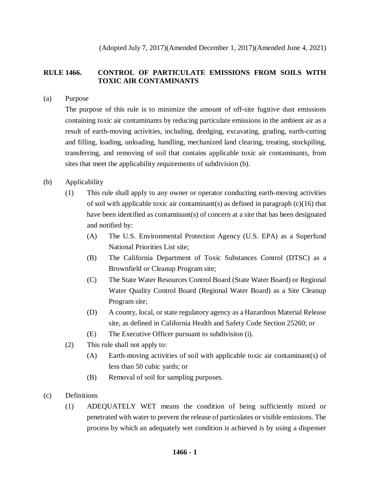(Adopted July 7, 2017)(Amended December 1, 2017)(Amended June 4, 2021)

# **RULE 1466. CONTROL OF PARTICULATE EMISSIONS FROM SOILS WITH TOXIC AIR CONTAMINANTS**

(a) Purpose

The purpose of this rule is to minimize the amount of off-site fugitive dust emissions containing toxic air contaminants by reducing particulate emissions in the ambient air as a result of earth-moving activities, including, dredging, excavating, grading, earth-cutting and filling, loading, unloading, handling, mechanized land clearing, treating, stockpiling, transferring, and removing of soil that contains applicable toxic air contaminants, from sites that meet the applicability requirements of subdivision (b).

## (b) Applicability

- (1) This rule shall apply to any owner or operator conducting earth-moving activities of soil with applicable toxic air contaminant(s) as defined in paragraph  $(c)(16)$  that have been identified as contaminant(s) of concern at a site that has been designated and notified by:
	- (A) The U.S. Environmental Protection Agency (U.S. EPA) as a Superfund National Priorities List site;
	- (B) The California Department of Toxic Substances Control (DTSC) as a Brownfield or Cleanup Program site;
	- (C) The State Water Resources Control Board (State Water Board) or Regional Water Quality Control Board (Regional Water Board) as a Site Cleanup Program site;
	- (D) A county, local, or state regulatory agency as a Hazardous Material Release site, as defined in California Health and Safety Code Section 25260; or
	- (E) The Executive Officer pursuant to subdivision (i).
- (2) This rule shall not apply to:
	- (A) Earth-moving activities of soil with applicable toxic air contaminant(s) of less than 50 cubic yards; or
	- (B) Removal of soil for sampling purposes.
- (c) Definitions
	- (1) ADEQUATELY WET means the condition of being sufficiently mixed or penetrated with water to prevent the release of particulates or visible emissions. The process by which an adequately wet condition is achieved is by using a dispenser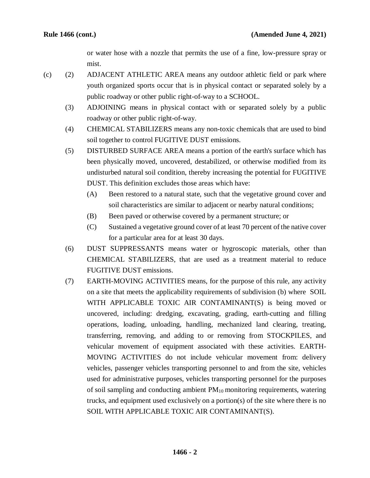or water hose with a nozzle that permits the use of a fine, low-pressure spray or mist.

- (c) (2) ADJACENT ATHLETIC AREA means any outdoor athletic field or park where youth organized sports occur that is in physical contact or separated solely by a public roadway or other public right-of-way to a SCHOOL.
	- (3) ADJOINING means in physical contact with or separated solely by a public roadway or other public right-of-way.
	- (4) CHEMICAL STABILIZERS means any non-toxic chemicals that are used to bind soil together to control FUGITIVE DUST emissions.
	- (5) DISTURBED SURFACE AREA means a portion of the earth's surface which has been physically moved, uncovered, destabilized, or otherwise modified from its undisturbed natural soil condition, thereby increasing the potential for FUGITIVE DUST. This definition excludes those areas which have:
		- (A) Been restored to a natural state, such that the vegetative ground cover and soil characteristics are similar to adjacent or nearby natural conditions;
		- (B) Been paved or otherwise covered by a permanent structure; or
		- (C) Sustained a vegetative ground cover of at least 70 percent of the native cover for a particular area for at least 30 days.
	- (6) DUST SUPPRESSANTS means water or hygroscopic materials, other than CHEMICAL STABILIZERS, that are used as a treatment material to reduce FUGITIVE DUST emissions.
	- (7) EARTH-MOVING ACTIVITIES means, for the purpose of this rule, any activity on a site that meets the applicability requirements of subdivision (b) where SOIL WITH APPLICABLE TOXIC AIR CONTAMINANT(S) is being moved or uncovered, including: dredging, excavating, grading, earth-cutting and filling operations, loading, unloading, handling, mechanized land clearing, treating, transferring, removing, and adding to or removing from STOCKPILES, and vehicular movement of equipment associated with these activities. EARTH-MOVING ACTIVITIES do not include vehicular movement from: delivery vehicles, passenger vehicles transporting personnel to and from the site, vehicles used for administrative purposes, vehicles transporting personnel for the purposes of soil sampling and conducting ambient  $PM_{10}$  monitoring requirements, watering trucks, and equipment used exclusively on a portion(s) of the site where there is no SOIL WITH APPLICABLE TOXIC AIR CONTAMINANT(S).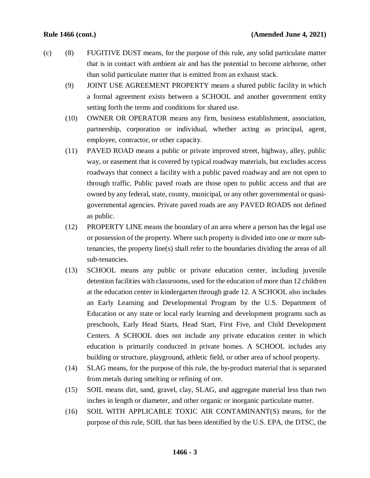- (c) (8) FUGITIVE DUST means, for the purpose of this rule, any solid particulate matter that is in contact with ambient air and has the potential to become airborne, other than solid particulate matter that is emitted from an exhaust stack.
	- (9) JOINT USE AGREEMENT PROPERTY means a shared public facility in which a formal agreement exists between a SCHOOL and another government entity setting forth the terms and conditions for shared use.
	- (10) OWNER OR OPERATOR means any firm, business establishment, association, partnership, corporation or individual, whether acting as principal, agent, employee, contractor, or other capacity.
	- (11) PAVED ROAD means a public or private improved street, highway, alley, public way, or easement that is covered by typical roadway materials, but excludes access roadways that connect a facility with a public paved roadway and are not open to through traffic. Public paved roads are those open to public access and that are owned by any federal, state, county, municipal, or any other governmental or quasigovernmental agencies. Private paved roads are any PAVED ROADS not defined as public.
	- (12) PROPERTY LINE means the boundary of an area where a person has the legal use or possession of the property. Where such property is divided into one or more subtenancies, the property line(s) shall refer to the boundaries dividing the areas of all sub-tenancies.
	- (13) SCHOOL means any public or private education center, including juvenile detention facilities with classrooms, used for the education of more than 12 children at the education center in kindergarten through grade 12. A SCHOOL also includes an Early Learning and Developmental Program by the U.S. Department of Education or any state or local early learning and development programs such as preschools, Early Head Starts, Head Start, First Five, and Child Development Centers. A SCHOOL does not include any private education center in which education is primarily conducted in private homes. A SCHOOL includes any building or structure, playground, athletic field, or other area of school property.
	- (14) SLAG means, for the purpose of this rule, the by-product material that is separated from metals during smelting or refining of ore.
	- (15) SOIL means dirt, sand, gravel, clay, SLAG, and aggregate material less than two inches in length or diameter, and other organic or inorganic particulate matter.
	- (16) SOIL WITH APPLICABLE TOXIC AIR CONTAMINANT(S) means, for the purpose of this rule, SOIL that has been identified by the U.S. EPA, the DTSC, the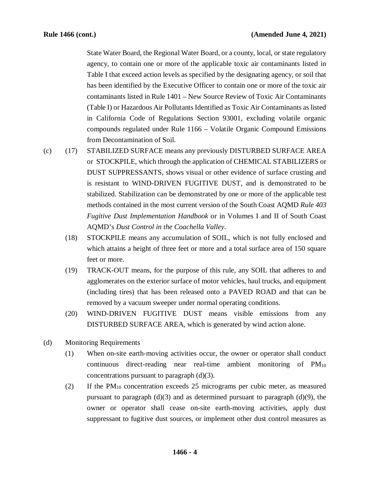State Water Board, the Regional Water Board, or a county, local, or state regulatory agency, to contain one or more of the applicable toxic air contaminants listed in Table I that exceed action levels as specified by the designating agency, or soil that has been identified by the Executive Officer to contain one or more of the toxic air contaminants listed in Rule 1401 – New Source Review of Toxic Air Contaminants (Table I) or Hazardous Air Pollutants Identified as Toxic Air Contaminants as listed in California Code of Regulations Section 93001, excluding volatile organic compounds regulated under Rule 1166 – Volatile Organic Compound Emissions from Decontamination of Soil.

- (c) (17) STABILIZED SURFACE means any previously DISTURBED SURFACE AREA or STOCKPILE, which through the application of CHEMICAL STABILIZERS or DUST SUPPRESSANTS, shows visual or other evidence of surface crusting and is resistant to WIND-DRIVEN FUGITIVE DUST, and is demonstrated to be stabilized. Stabilization can be demonstrated by one or more of the applicable test methods contained in the most current version of the South Coast AQMD *Rule 403 Fugitive Dust Implementation Handbook* or in Volumes I and II of South Coast AQMD's *Dust Control in the Coachella Valley*.
	- (18) STOCKPILE means any accumulation of SOIL, which is not fully enclosed and which attains a height of three feet or more and a total surface area of 150 square feet or more.
	- (19) TRACK-OUT means, for the purpose of this rule, any SOIL that adheres to and agglomerates on the exterior surface of motor vehicles, haul trucks, and equipment (including tires) that has been released onto a PAVED ROAD and that can be removed by a vacuum sweeper under normal operating conditions.
	- (20) WIND-DRIVEN FUGITIVE DUST means visible emissions from any DISTURBED SURFACE AREA, which is generated by wind action alone.
- (d) Monitoring Requirements
	- (1) When on-site earth-moving activities occur, the owner or operator shall conduct continuous direct-reading near real-time ambient monitoring of PM10 concentrations pursuant to paragraph (d)(3).
	- (2) If the  $PM_{10}$  concentration exceeds 25 micrograms per cubic meter, as measured pursuant to paragraph  $(d)(3)$  and as determined pursuant to paragraph  $(d)(9)$ , the owner or operator shall cease on-site earth-moving activities, apply dust suppressant to fugitive dust sources, or implement other dust control measures as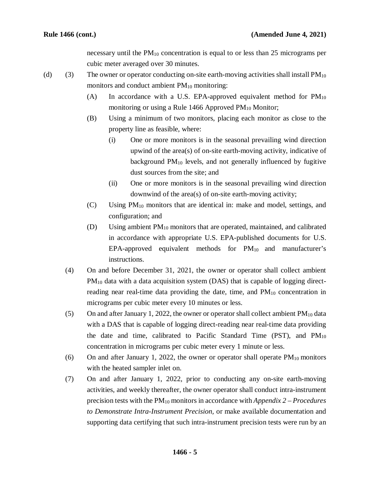necessary until the  $PM_{10}$  concentration is equal to or less than 25 micrograms per cubic meter averaged over 30 minutes.

- (d) (3) The owner or operator conducting on-site earth-moving activities shall install  $PM_{10}$ monitors and conduct ambient  $PM_{10}$  monitoring:
	- (A) In accordance with a U.S. EPA-approved equivalent method for  $PM_{10}$ monitoring or using a Rule 1466 Approved  $PM_{10}$  Monitor;
	- (B) Using a minimum of two monitors, placing each monitor as close to the property line as feasible, where:
		- (i) One or more monitors is in the seasonal prevailing wind direction upwind of the area(s) of on-site earth-moving activity, indicative of background  $PM_{10}$  levels, and not generally influenced by fugitive dust sources from the site; and
		- (ii) One or more monitors is in the seasonal prevailing wind direction downwind of the area(s) of on-site earth-moving activity;
	- (C) Using PM10 monitors that are identical in: make and model, settings, and configuration; and
	- (D) Using ambient PM10 monitors that are operated, maintained, and calibrated in accordance with appropriate U.S. EPA-published documents for U.S.  $EPA$ -approved equivalent methods for  $PM_{10}$  and manufacturer's instructions.
	- (4) On and before December 31, 2021, the owner or operator shall collect ambient  $PM_{10}$  data with a data acquisition system (DAS) that is capable of logging directreading near real-time data providing the date, time, and  $PM_{10}$  concentration in micrograms per cubic meter every 10 minutes or less.
	- (5) On and after January 1, 2022, the owner or operator shall collect ambient  $PM_{10}$  data with a DAS that is capable of logging direct-reading near real-time data providing the date and time, calibrated to Pacific Standard Time (PST), and  $PM_{10}$ concentration in micrograms per cubic meter every 1 minute or less.
	- (6) On and after January 1, 2022, the owner or operator shall operate  $PM_{10}$  monitors with the heated sampler inlet on.
	- (7) On and after January 1, 2022, prior to conducting any on-site earth-moving activities, and weekly thereafter, the owner operator shall conduct intra-instrument precision tests with the PM10 monitors in accordance with *Appendix 2 – Procedures to Demonstrate Intra-Instrument Precision,* or make available documentation and supporting data certifying that such intra-instrument precision tests were run by an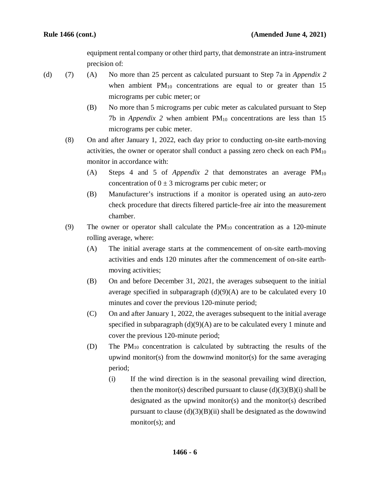equipment rental company or other third party, that demonstrate an intra-instrument precision of:

(d) (7) (A) No more than 25 percent as calculated pursuant to Step 7a in *Appendix 2*  when ambient  $PM_{10}$  concentrations are equal to or greater than 15 micrograms per cubic meter; or

- (B) No more than 5 micrograms per cubic meter as calculated pursuant to Step 7b in *Appendix 2* when ambient  $PM_{10}$  concentrations are less than 15 micrograms per cubic meter.
- (8) On and after January 1, 2022, each day prior to conducting on-site earth-moving activities, the owner or operator shall conduct a passing zero check on each  $PM_{10}$ monitor in accordance with:
	- (A) Steps 4 and 5 of *Appendix 2* that demonstrates an average PM<sub>10</sub> concentration of  $0 \pm 3$  micrograms per cubic meter; or
	- (B) Manufacturer's instructions if a monitor is operated using an auto-zero check procedure that directs filtered particle-free air into the measurement chamber.
- (9) The owner or operator shall calculate the  $PM_{10}$  concentration as a 120-minute rolling average, where:
	- (A) The initial average starts at the commencement of on-site earth-moving activities and ends 120 minutes after the commencement of on-site earthmoving activities;
	- (B) On and before December 31, 2021, the averages subsequent to the initial average specified in subparagraph  $(d)(9)(A)$  are to be calculated every 10 minutes and cover the previous 120-minute period;
	- (C) On and after January 1, 2022, the averages subsequent to the initial average specified in subparagraph  $(d)(9)(A)$  are to be calculated every 1 minute and cover the previous 120-minute period;
	- (D) The PM10 concentration is calculated by subtracting the results of the upwind monitor(s) from the downwind monitor(s) for the same averaging period;
		- (i) If the wind direction is in the seasonal prevailing wind direction, then the monitor(s) described pursuant to clause  $(d)(3)(B)(i)$  shall be designated as the upwind monitor(s) and the monitor(s) described pursuant to clause  $(d)(3)(B)(ii)$  shall be designated as the downwind monitor(s); and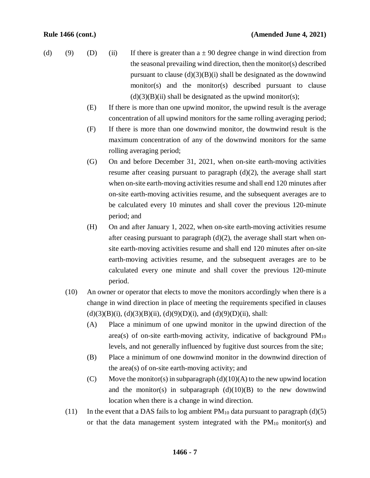- (d) (9) (D) (ii) If there is greater than  $a \pm 90$  degree change in wind direction from the seasonal prevailing wind direction, then the monitor(s) described pursuant to clause  $(d)(3)(B)(i)$  shall be designated as the downwind monitor(s) and the monitor(s) described pursuant to clause  $(d)(3)(B)(ii)$  shall be designated as the upwind monitor(s);
	- (E) If there is more than one upwind monitor, the upwind result is the average concentration of all upwind monitors for the same rolling averaging period;
	- (F) If there is more than one downwind monitor, the downwind result is the maximum concentration of any of the downwind monitors for the same rolling averaging period;
	- (G) On and before December 31, 2021, when on-site earth-moving activities resume after ceasing pursuant to paragraph (d)(2), the average shall start when on-site earth-moving activities resume and shall end 120 minutes after on-site earth-moving activities resume, and the subsequent averages are to be calculated every 10 minutes and shall cover the previous 120-minute period; and
	- (H) On and after January 1, 2022, when on-site earth-moving activities resume after ceasing pursuant to paragraph (d)(2), the average shall start when onsite earth-moving activities resume and shall end 120 minutes after on-site earth-moving activities resume, and the subsequent averages are to be calculated every one minute and shall cover the previous 120-minute period.
	- (10) An owner or operator that elects to move the monitors accordingly when there is a change in wind direction in place of meeting the requirements specified in clauses  $(d)(3)(B)(i)$ ,  $(d)(3)(B)(ii)$ ,  $(d)(9)(D)(i)$ , and  $(d)(9)(D)(ii)$ , shall:
		- (A) Place a minimum of one upwind monitor in the upwind direction of the area(s) of on-site earth-moving activity, indicative of background  $PM_{10}$ levels, and not generally influenced by fugitive dust sources from the site;
		- (B) Place a minimum of one downwind monitor in the downwind direction of the area(s) of on-site earth-moving activity; and
		- (C) Move the monitor(s) in subparagraph  $(d)(10)(A)$  to the new upwind location and the monitor(s) in subparagraph  $(d)(10)(B)$  to the new downwind location when there is a change in wind direction.
	- (11) In the event that a DAS fails to log ambient  $PM_{10}$  data pursuant to paragraph (d)(5) or that the data management system integrated with the  $PM_{10}$  monitor(s) and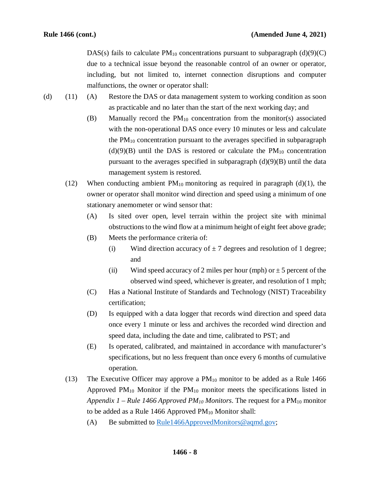DAS(s) fails to calculate  $PM_{10}$  concentrations pursuant to subparagraph (d)(9)(C) due to a technical issue beyond the reasonable control of an owner or operator, including, but not limited to, internet connection disruptions and computer malfunctions, the owner or operator shall:

- (d) (11) (A) Restore the DAS or data management system to working condition as soon as practicable and no later than the start of the next working day; and
	- (B) Manually record the  $PM_{10}$  concentration from the monitor(s) associated with the non-operational DAS once every 10 minutes or less and calculate the  $PM_{10}$  concentration pursuant to the averages specified in subparagraph  $(d)(9)(B)$  until the DAS is restored or calculate the PM<sub>10</sub> concentration pursuant to the averages specified in subparagraph  $(d)(9)(B)$  until the data management system is restored.
	- (12) When conducting ambient  $PM_{10}$  monitoring as required in paragraph (d)(1), the owner or operator shall monitor wind direction and speed using a minimum of one stationary anemometer or wind sensor that:
		- (A) Is sited over open, level terrain within the project site with minimal obstructions to the wind flow at a minimum height of eight feet above grade;
		- (B) Meets the performance criteria of:
			- (i) Wind direction accuracy of  $\pm$  7 degrees and resolution of 1 degree; and
			- (ii) Wind speed accuracy of 2 miles per hour (mph) or  $\pm$  5 percent of the observed wind speed, whichever is greater, and resolution of 1 mph;
		- (C) Has a National Institute of Standards and Technology (NIST) Traceability certification;
		- (D) Is equipped with a data logger that records wind direction and speed data once every 1 minute or less and archives the recorded wind direction and speed data, including the date and time, calibrated to PST; and
		- (E) Is operated, calibrated, and maintained in accordance with manufacturer's specifications, but no less frequent than once every 6 months of cumulative operation.
	- (13) The Executive Officer may approve a  $PM_{10}$  monitor to be added as a Rule 1466 Approved  $PM_{10}$  Monitor if the  $PM_{10}$  monitor meets the specifications listed in *Appendix 1 – Rule 1466 Approved PM10 Monitors*. The request for a PM10 monitor to be added as a Rule 1466 Approved  $PM_{10}$  Monitor shall:
		- (A) Be submitted to [Rule1466ApprovedMonitors@aqmd.gov;](mailto:Rule1466ApprovedMonitors@aqmd.gov)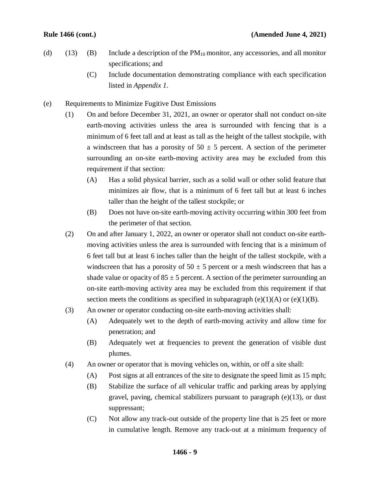- (d) (13) (B) Include a description of the  $PM_{10}$  monitor, any accessories, and all monitor specifications; and
	- (C) Include documentation demonstrating compliance with each specification listed in *Appendix 1*.
- (e) Requirements to Minimize Fugitive Dust Emissions
	- (1) On and before December 31, 2021, an owner or operator shall not conduct on-site earth-moving activities unless the area is surrounded with fencing that is a minimum of 6 feet tall and at least as tall as the height of the tallest stockpile, with a windscreen that has a porosity of  $50 \pm 5$  percent. A section of the perimeter surrounding an on-site earth-moving activity area may be excluded from this requirement if that section:
		- (A) Has a solid physical barrier, such as a solid wall or other solid feature that minimizes air flow, that is a minimum of 6 feet tall but at least 6 inches taller than the height of the tallest stockpile; or
		- (B) Does not have on-site earth-moving activity occurring within 300 feet from the perimeter of that section.
	- (2) On and after January 1, 2022, an owner or operator shall not conduct on-site earthmoving activities unless the area is surrounded with fencing that is a minimum of 6 feet tall but at least 6 inches taller than the height of the tallest stockpile, with a windscreen that has a porosity of  $50 \pm 5$  percent or a mesh windscreen that has a shade value or opacity of  $85 \pm 5$  percent. A section of the perimeter surrounding an on-site earth-moving activity area may be excluded from this requirement if that section meets the conditions as specified in subparagraph  $(e)(1)(A)$  or  $(e)(1)(B)$ .
	- (3) An owner or operator conducting on-site earth-moving activities shall:
		- (A) Adequately wet to the depth of earth-moving activity and allow time for penetration; and
		- (B) Adequately wet at frequencies to prevent the generation of visible dust plumes.
	- (4) An owner or operator that is moving vehicles on, within, or off a site shall:
		- (A) Post signs at all entrances of the site to designate the speed limit as 15 mph;
		- (B) Stabilize the surface of all vehicular traffic and parking areas by applying gravel, paving, chemical stabilizers pursuant to paragraph (e)(13), or dust suppressant;
		- (C) Not allow any track-out outside of the property line that is 25 feet or more in cumulative length. Remove any track-out at a minimum frequency of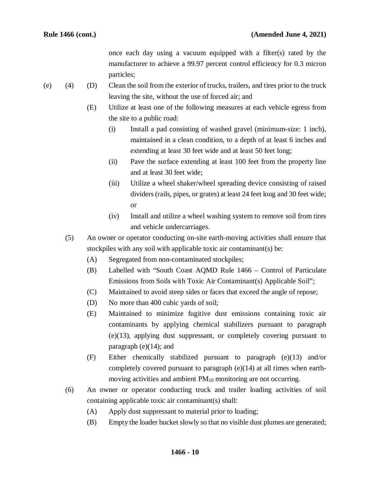once each day using a vacuum equipped with a filter(s) rated by the manufacturer to achieve a 99.97 percent control efficiency for 0.3 micron particles;

- (e) (4) (D) Clean the soil from the exterior of trucks, trailers, and tires prior to the truck leaving the site, without the use of forced air; and
	- (E) Utilize at least one of the following measures at each vehicle egress from the site to a public road:
		- (i) Install a pad consisting of washed gravel (minimum-size: 1 inch), maintained in a clean condition, to a depth of at least 6 inches and extending at least 30 feet wide and at least 50 feet long;
		- (ii) Pave the surface extending at least 100 feet from the property line and at least 30 feet wide;
		- (iii) Utilize a wheel shaker/wheel spreading device consisting of raised dividers (rails, pipes, or grates) at least 24 feet long and 30 feet wide; or
		- (iv) Install and utilize a wheel washing system to remove soil from tires and vehicle undercarriages.
	- (5) An owner or operator conducting on-site earth-moving activities shall ensure that stockpiles with any soil with applicable toxic air contaminant(s) be:
		- (A) Segregated from non-contaminated stockpiles;
		- (B) Labelled with "South Coast AQMD Rule 1466 Control of Particulate Emissions from Soils with Toxic Air Contaminant(s) Applicable Soil";
		- (C) Maintained to avoid steep sides or faces that exceed the angle of repose;
		- (D) No more than 400 cubic yards of soil;
		- (E) Maintained to minimize fugitive dust emissions containing toxic air contaminants by applying chemical stabilizers pursuant to paragraph (e)(13), applying dust suppressant, or completely covering pursuant to paragraph  $(e)(14)$ ; and
		- (F) Either chemically stabilized pursuant to paragraph (e)(13) and/or completely covered pursuant to paragraph (e)(14) at all times when earthmoving activities and ambient PM<sub>10</sub> monitoring are not occurring.
	- (6) An owner or operator conducting truck and trailer loading activities of soil containing applicable toxic air contaminant(s) shall:
		- (A) Apply dust suppressant to material prior to loading;
		- (B) Empty the loader bucket slowly so that no visible dust plumes are generated;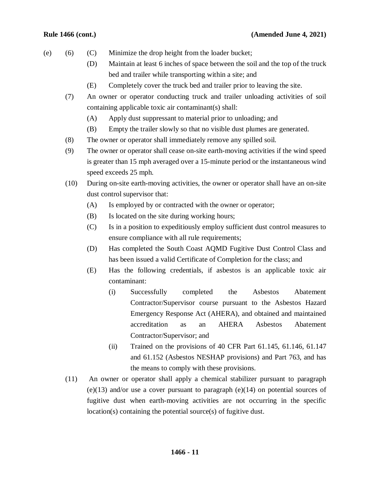### **Rule 1466 (cont.) (Amended June 4, 2021)**

- (e) (6) (C) Minimize the drop height from the loader bucket;
	- (D) Maintain at least 6 inches of space between the soil and the top of the truck bed and trailer while transporting within a site; and
	- (E) Completely cover the truck bed and trailer prior to leaving the site.
	- (7) An owner or operator conducting truck and trailer unloading activities of soil containing applicable toxic air contaminant(s) shall:
		- (A) Apply dust suppressant to material prior to unloading; and
		- (B) Empty the trailer slowly so that no visible dust plumes are generated.
	- (8) The owner or operator shall immediately remove any spilled soil.
	- (9) The owner or operator shall cease on-site earth-moving activities if the wind speed is greater than 15 mph averaged over a 15-minute period or the instantaneous wind speed exceeds 25 mph.
	- (10) During on-site earth-moving activities, the owner or operator shall have an on-site dust control supervisor that:
		- (A) Is employed by or contracted with the owner or operator;
		- (B) Is located on the site during working hours;
		- (C) Is in a position to expeditiously employ sufficient dust control measures to ensure compliance with all rule requirements;
		- (D) Has completed the South Coast AQMD Fugitive Dust Control Class and has been issued a valid Certificate of Completion for the class; and
		- (E) Has the following credentials, if asbestos is an applicable toxic air contaminant:
			- (i) Successfully completed the Asbestos Abatement Contractor/Supervisor course pursuant to the Asbestos Hazard Emergency Response Act (AHERA), and obtained and maintained accreditation as an AHERA Asbestos Abatement Contractor/Supervisor; and
			- (ii) Trained on the provisions of 40 CFR Part 61.145, 61.146, 61.147 and 61.152 (Asbestos NESHAP provisions) and Part 763, and has the means to comply with these provisions.
	- (11) An owner or operator shall apply a chemical stabilizer pursuant to paragraph (e)(13) and/or use a cover pursuant to paragraph (e)(14) on potential sources of fugitive dust when earth-moving activities are not occurring in the specific location(s) containing the potential source(s) of fugitive dust.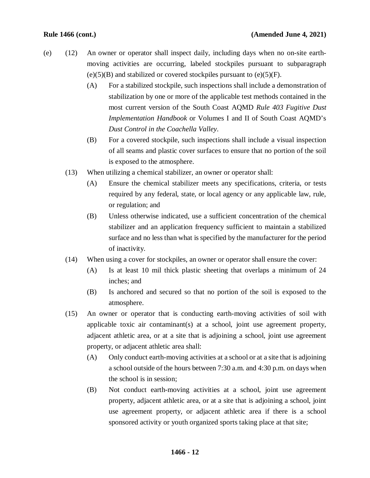- (e) (12) An owner or operator shall inspect daily, including days when no on-site earthmoving activities are occurring, labeled stockpiles pursuant to subparagraph  $(e)(5)(B)$  and stabilized or covered stockpiles pursuant to  $(e)(5)(F)$ .
	- (A) For a stabilized stockpile, such inspections shall include a demonstration of stabilization by one or more of the applicable test methods contained in the most current version of the South Coast AQMD *Rule 403 Fugitive Dust Implementation Handbook* or Volumes I and II of South Coast AQMD's *Dust Control in the Coachella Valley*.
	- (B) For a covered stockpile, such inspections shall include a visual inspection of all seams and plastic cover surfaces to ensure that no portion of the soil is exposed to the atmosphere.
	- (13) When utilizing a chemical stabilizer, an owner or operator shall:
		- (A) Ensure the chemical stabilizer meets any specifications, criteria, or tests required by any federal, state, or local agency or any applicable law, rule, or regulation; and
		- (B) Unless otherwise indicated, use a sufficient concentration of the chemical stabilizer and an application frequency sufficient to maintain a stabilized surface and no less than what is specified by the manufacturer for the period of inactivity.
	- (14) When using a cover for stockpiles, an owner or operator shall ensure the cover:
		- (A) Is at least 10 mil thick plastic sheeting that overlaps a minimum of 24 inches; and
		- (B) Is anchored and secured so that no portion of the soil is exposed to the atmosphere.
	- (15) An owner or operator that is conducting earth-moving activities of soil with applicable toxic air contaminant(s) at a school, joint use agreement property, adjacent athletic area, or at a site that is adjoining a school, joint use agreement property, or adjacent athletic area shall:
		- (A) Only conduct earth-moving activities at a school or at a site that is adjoining a school outside of the hours between 7:30 a.m. and 4:30 p.m. on days when the school is in session;
		- (B) Not conduct earth-moving activities at a school, joint use agreement property, adjacent athletic area, or at a site that is adjoining a school, joint use agreement property, or adjacent athletic area if there is a school sponsored activity or youth organized sports taking place at that site;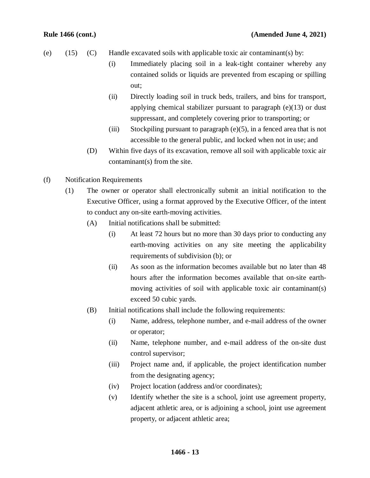- (e)  $(15)$   $(C)$  Handle excavated soils with applicable toxic air contaminant(s) by:
	- (i) Immediately placing soil in a leak-tight container whereby any contained solids or liquids are prevented from escaping or spilling out;
	- (ii) Directly loading soil in truck beds, trailers, and bins for transport, applying chemical stabilizer pursuant to paragraph (e)(13) or dust suppressant, and completely covering prior to transporting; or
	- (iii) Stockpiling pursuant to paragraph  $(e)(5)$ , in a fenced area that is not accessible to the general public, and locked when not in use; and
	- (D) Within five days of its excavation, remove all soil with applicable toxic air contaminant(s) from the site.
- (f) Notification Requirements
	- (1) The owner or operator shall electronically submit an initial notification to the Executive Officer, using a format approved by the Executive Officer, of the intent to conduct any on-site earth-moving activities.
		- (A) Initial notifications shall be submitted:
			- (i) At least 72 hours but no more than 30 days prior to conducting any earth-moving activities on any site meeting the applicability requirements of subdivision (b); or
			- (ii) As soon as the information becomes available but no later than 48 hours after the information becomes available that on-site earthmoving activities of soil with applicable toxic air contaminant(s) exceed 50 cubic yards.
		- (B) Initial notifications shall include the following requirements:
			- (i) Name, address, telephone number, and e-mail address of the owner or operator;
			- (ii) Name, telephone number, and e-mail address of the on-site dust control supervisor;
			- (iii) Project name and, if applicable, the project identification number from the designating agency;
			- (iv) Project location (address and/or coordinates);
			- (v) Identify whether the site is a school, joint use agreement property, adjacent athletic area, or is adjoining a school, joint use agreement property, or adjacent athletic area;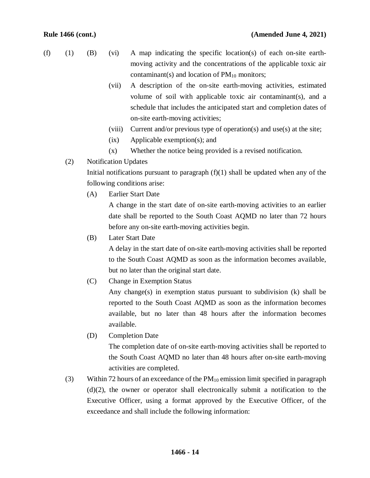- (f) (1) (B) (vi) A map indicating the specific location(s) of each on-site earthmoving activity and the concentrations of the applicable toxic air contaminant(s) and location of  $PM_{10}$  monitors;
	- (vii) A description of the on-site earth-moving activities, estimated volume of soil with applicable toxic air contaminant(s), and a schedule that includes the anticipated start and completion dates of on-site earth-moving activities;
	- (viii) Current and/or previous type of operation(s) and use(s) at the site;
	- (ix) Applicable exemption(s); and
	- (x) Whether the notice being provided is a revised notification.
	- (2) Notification Updates

Initial notifications pursuant to paragraph  $(f)(1)$  shall be updated when any of the following conditions arise:

(A) Earlier Start Date

A change in the start date of on-site earth-moving activities to an earlier date shall be reported to the South Coast AQMD no later than 72 hours before any on-site earth-moving activities begin.

(B) Later Start Date

A delay in the start date of on-site earth-moving activities shall be reported to the South Coast AQMD as soon as the information becomes available, but no later than the original start date.

(C) Change in Exemption Status

Any change(s) in exemption status pursuant to subdivision  $(k)$  shall be reported to the South Coast AQMD as soon as the information becomes available, but no later than 48 hours after the information becomes available.

(D) Completion Date

The completion date of on-site earth-moving activities shall be reported to the South Coast AQMD no later than 48 hours after on-site earth-moving activities are completed.

(3) Within 72 hours of an exceedance of the  $PM_{10}$  emission limit specified in paragraph (d)(2), the owner or operator shall electronically submit a notification to the Executive Officer, using a format approved by the Executive Officer, of the exceedance and shall include the following information: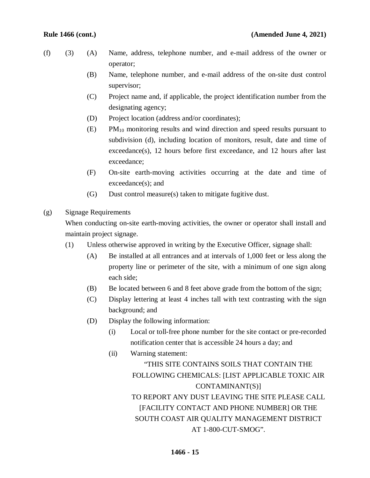- (f) (3) (A) Name, address, telephone number, and e-mail address of the owner or operator;
	- (B) Name, telephone number, and e-mail address of the on-site dust control supervisor;
	- (C) Project name and, if applicable, the project identification number from the designating agency;
	- (D) Project location (address and/or coordinates);
	- (E) PM10 monitoring results and wind direction and speed results pursuant to subdivision (d), including location of monitors, result, date and time of exceedance(s), 12 hours before first exceedance, and 12 hours after last exceedance;
	- (F) On-site earth-moving activities occurring at the date and time of exceedance(s); and
	- (G) Dust control measure(s) taken to mitigate fugitive dust.
- (g) Signage Requirements

When conducting on-site earth-moving activities, the owner or operator shall install and maintain project signage.

- (1) Unless otherwise approved in writing by the Executive Officer, signage shall:
	- (A) Be installed at all entrances and at intervals of 1,000 feet or less along the property line or perimeter of the site, with a minimum of one sign along each side;
	- (B) Be located between 6 and 8 feet above grade from the bottom of the sign;
	- (C) Display lettering at least 4 inches tall with text contrasting with the sign background; and
	- (D) Display the following information:
		- (i) Local or toll-free phone number for the site contact or pre-recorded notification center that is accessible 24 hours a day; and
		- (ii) Warning statement: "THIS SITE CONTAINS SOILS THAT CONTAIN THE FOLLOWING CHEMICALS: [LIST APPLICABLE TOXIC AIR CONTAMINANT(S)] TO REPORT ANY DUST LEAVING THE SITE PLEASE CALL [FACILITY CONTACT AND PHONE NUMBER] OR THE SOUTH COAST AIR QUALITY MANAGEMENT DISTRICT AT 1-800-CUT-SMOG".

### **1466 - 15**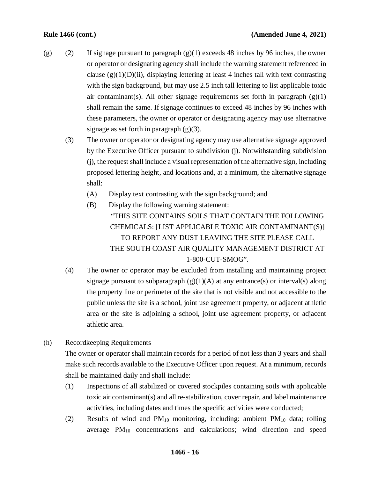- (g) (2) If signage pursuant to paragraph  $(g)(1)$  exceeds 48 inches by 96 inches, the owner or operator or designating agency shall include the warning statement referenced in clause  $(g)(1)(D)(ii)$ , displaying lettering at least 4 inches tall with text contrasting with the sign background, but may use 2.5 inch tall lettering to list applicable toxic air contaminant(s). All other signage requirements set forth in paragraph  $(g)(1)$ shall remain the same. If signage continues to exceed 48 inches by 96 inches with these parameters, the owner or operator or designating agency may use alternative signage as set forth in paragraph  $(g)(3)$ .
	- (3) The owner or operator or designating agency may use alternative signage approved by the Executive Officer pursuant to subdivision (j). Notwithstanding subdivision (j), the request shall include a visual representation of the alternative sign, including proposed lettering height, and locations and, at a minimum, the alternative signage shall:
		- (A) Display text contrasting with the sign background; and
		- (B) Display the following warning statement: "THIS SITE CONTAINS SOILS THAT CONTAIN THE FOLLOWING CHEMICALS: [LIST APPLICABLE TOXIC AIR CONTAMINANT(S)] TO REPORT ANY DUST LEAVING THE SITE PLEASE CALL THE SOUTH COAST AIR QUALITY MANAGEMENT DISTRICT AT 1-800-CUT-SMOG".
	- (4) The owner or operator may be excluded from installing and maintaining project signage pursuant to subparagraph  $(g)(1)(A)$  at any entrance(s) or interval(s) along the property line or perimeter of the site that is not visible and not accessible to the public unless the site is a school, joint use agreement property, or adjacent athletic area or the site is adjoining a school, joint use agreement property, or adjacent athletic area.
- (h) Recordkeeping Requirements

The owner or operator shall maintain records for a period of not less than 3 years and shall make such records available to the Executive Officer upon request. At a minimum, records shall be maintained daily and shall include:

- (1) Inspections of all stabilized or covered stockpiles containing soils with applicable toxic air contaminant(s) and all re-stabilization, cover repair, and label maintenance activities, including dates and times the specific activities were conducted;
- (2) Results of wind and  $PM_{10}$  monitoring, including: ambient  $PM_{10}$  data; rolling average PM10 concentrations and calculations; wind direction and speed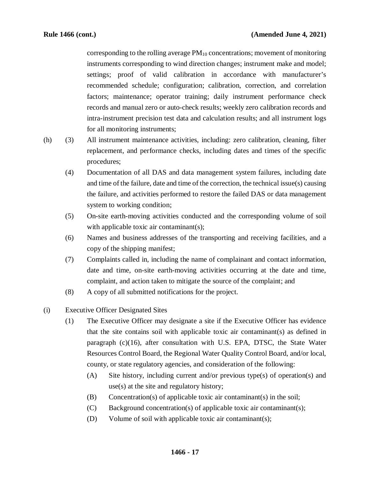corresponding to the rolling average  $PM_{10}$  concentrations; movement of monitoring instruments corresponding to wind direction changes; instrument make and model; settings; proof of valid calibration in accordance with manufacturer's recommended schedule; configuration; calibration, correction, and correlation factors; maintenance; operator training; daily instrument performance check records and manual zero or auto-check results; weekly zero calibration records and intra-instrument precision test data and calculation results; and all instrument logs for all monitoring instruments;

- 
- (h) (3) All instrument maintenance activities, including: zero calibration, cleaning, filter replacement, and performance checks, including dates and times of the specific procedures;
	- (4) Documentation of all DAS and data management system failures, including date and time of the failure, date and time of the correction, the technical issue(s) causing the failure, and activities performed to restore the failed DAS or data management system to working condition;
	- (5) On-site earth-moving activities conducted and the corresponding volume of soil with applicable toxic air contaminant(s);
	- (6) Names and business addresses of the transporting and receiving facilities, and a copy of the shipping manifest;
	- (7) Complaints called in, including the name of complainant and contact information, date and time, on-site earth-moving activities occurring at the date and time, complaint, and action taken to mitigate the source of the complaint; and
	- (8) A copy of all submitted notifications for the project.
- (i) Executive Officer Designated Sites
	- (1) The Executive Officer may designate a site if the Executive Officer has evidence that the site contains soil with applicable toxic air contaminant(s) as defined in paragraph  $(c)(16)$ , after consultation with U.S. EPA, DTSC, the State Water Resources Control Board, the Regional Water Quality Control Board, and/or local, county, or state regulatory agencies, and consideration of the following:
		- (A) Site history, including current and/or previous type(s) of operation(s) and use(s) at the site and regulatory history;
		- (B) Concentration(s) of applicable toxic air contaminant(s) in the soil;
		- (C) Background concentration(s) of applicable toxic air contaminant(s);
		- (D) Volume of soil with applicable toxic air contaminant(s);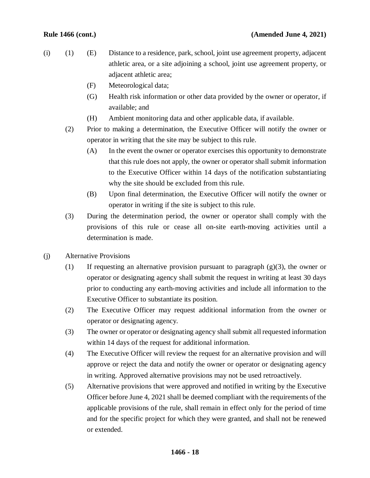- (i) (1) (E) Distance to a residence, park, school, joint use agreement property, adjacent athletic area, or a site adjoining a school, joint use agreement property, or adjacent athletic area;
	- (F) Meteorological data;
	- (G) Health risk information or other data provided by the owner or operator, if available; and
	- (H) Ambient monitoring data and other applicable data, if available.
	- (2) Prior to making a determination, the Executive Officer will notify the owner or operator in writing that the site may be subject to this rule.
		- (A) In the event the owner or operator exercises this opportunity to demonstrate that this rule does not apply, the owner or operator shall submit information to the Executive Officer within 14 days of the notification substantiating why the site should be excluded from this rule.
		- (B) Upon final determination, the Executive Officer will notify the owner or operator in writing if the site is subject to this rule.
	- (3) During the determination period, the owner or operator shall comply with the provisions of this rule or cease all on-site earth-moving activities until a determination is made.
- (j) Alternative Provisions
	- (1) If requesting an alternative provision pursuant to paragraph  $(g)(3)$ , the owner or operator or designating agency shall submit the request in writing at least 30 days prior to conducting any earth-moving activities and include all information to the Executive Officer to substantiate its position.
	- (2) The Executive Officer may request additional information from the owner or operator or designating agency.
	- (3) The owner or operator or designating agency shall submit all requested information within 14 days of the request for additional information.
	- (4) The Executive Officer will review the request for an alternative provision and will approve or reject the data and notify the owner or operator or designating agency in writing. Approved alternative provisions may not be used retroactively.
	- (5) Alternative provisions that were approved and notified in writing by the Executive Officer before June 4, 2021 shall be deemed compliant with the requirements of the applicable provisions of the rule, shall remain in effect only for the period of time and for the specific project for which they were granted, and shall not be renewed or extended.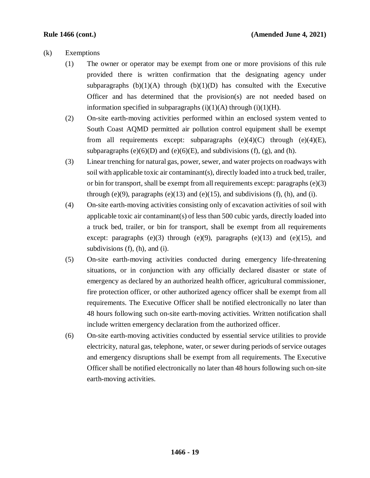## (k) Exemptions

- (1) The owner or operator may be exempt from one or more provisions of this rule provided there is written confirmation that the designating agency under subparagraphs  $(b)(1)(A)$  through  $(b)(1)(D)$  has consulted with the Executive Officer and has determined that the provision(s) are not needed based on information specified in subparagraphs  $(i)(1)(A)$  through  $(i)(1)(H)$ .
- (2) On-site earth-moving activities performed within an enclosed system vented to South Coast AQMD permitted air pollution control equipment shall be exempt from all requirements except: subparagraphs  $(e)(4)(C)$  through  $(e)(4)(E)$ , subparagraphs (e)(6)(D) and (e)(6)(E), and subdivisions (f), (g), and (h).
- (3) Linear trenching for natural gas, power, sewer, and water projects on roadways with soil with applicable toxic air contaminant(s), directly loaded into a truck bed, trailer, or bin for transport, shall be exempt from all requirements except: paragraphs  $(e)(3)$ through (e)(9), paragraphs (e)(13) and (e)(15), and subdivisions (f), (h), and (i).
- (4) On-site earth-moving activities consisting only of excavation activities of soil with applicable toxic air contaminant(s) of less than 500 cubic yards, directly loaded into a truck bed, trailer, or bin for transport, shall be exempt from all requirements except: paragraphs  $(e)(3)$  through  $(e)(9)$ , paragraphs  $(e)(13)$  and  $(e)(15)$ , and subdivisions (f), (h), and (i).
- (5) On-site earth-moving activities conducted during emergency life-threatening situations, or in conjunction with any officially declared disaster or state of emergency as declared by an authorized health officer, agricultural commissioner, fire protection officer, or other authorized agency officer shall be exempt from all requirements. The Executive Officer shall be notified electronically no later than 48 hours following such on-site earth-moving activities. Written notification shall include written emergency declaration from the authorized officer.
- (6) On-site earth-moving activities conducted by essential service utilities to provide electricity, natural gas, telephone, water, or sewer during periods of service outages and emergency disruptions shall be exempt from all requirements. The Executive Officer shall be notified electronically no later than 48 hours following such on-site earth-moving activities.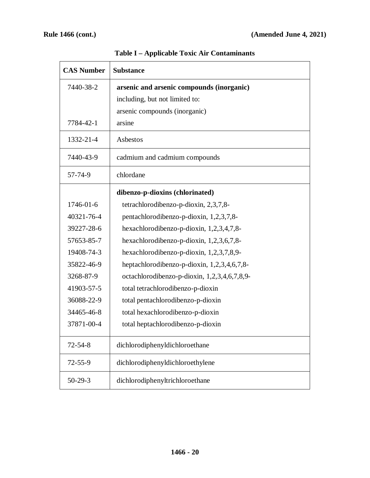| <b>CAS Number</b> | <b>Substance</b>                             |
|-------------------|----------------------------------------------|
| 7440-38-2         | arsenic and arsenic compounds (inorganic)    |
|                   | including, but not limited to:               |
|                   | arsenic compounds (inorganic)                |
| 7784-42-1         | arsine                                       |
| 1332-21-4         | Asbestos                                     |
| 7440-43-9         | cadmium and cadmium compounds                |
| 57-74-9           | chlordane                                    |
|                   | dibenzo-p-dioxins (chlorinated)              |
| 1746-01-6         | tetrachlorodibenzo-p-dioxin, 2,3,7,8-        |
| 40321-76-4        | pentachlorodibenzo-p-dioxin, 1,2,3,7,8-      |
| 39227-28-6        | hexachlorodibenzo-p-dioxin, 1,2,3,4,7,8-     |
| 57653-85-7        | hexachlorodibenzo-p-dioxin, 1,2,3,6,7,8-     |
| 19408-74-3        | hexachlorodibenzo-p-dioxin, $1,2,3,7,8,9$ -  |
| 35822-46-9        | heptachlorodibenzo-p-dioxin, 1,2,3,4,6,7,8-  |
| 3268-87-9         | octachlorodibenzo-p-dioxin, 1,2,3,4,6,7,8,9- |
| 41903-57-5        | total tetrachlorodibenzo-p-dioxin            |
| 36088-22-9        | total pentachlorodibenzo-p-dioxin            |
| 34465-46-8        | total hexachlorodibenzo-p-dioxin             |
| 37871-00-4        | total heptachlorodibenzo-p-dioxin            |
| $72 - 54 - 8$     | dichlorodiphenyldichloroethane               |
| $72 - 55 - 9$     | dichlorodiphenyldichloroethylene             |
| $50-29-3$         | dichlorodiphenyltrichloroethane              |

**Table I – Applicable Toxic Air Contaminants**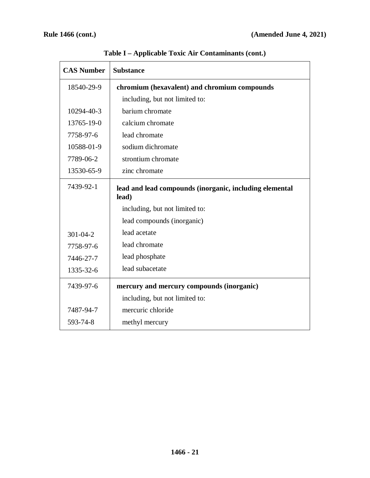| <b>CAS Number</b> | <b>Substance</b>                                                 |
|-------------------|------------------------------------------------------------------|
| 18540-29-9        | chromium (hexavalent) and chromium compounds                     |
|                   | including, but not limited to:                                   |
| 10294-40-3        | barium chromate                                                  |
| 13765-19-0        | calcium chromate                                                 |
| 7758-97-6         | lead chromate                                                    |
| 10588-01-9        | sodium dichromate                                                |
| 7789-06-2         | strontium chromate                                               |
| 13530-65-9        | zinc chromate                                                    |
| 7439-92-1         | lead and lead compounds (inorganic, including elemental<br>lead) |
|                   | including, but not limited to:                                   |
|                   | lead compounds (inorganic)                                       |
| $301 - 04 - 2$    | lead acetate                                                     |
| 7758-97-6         | lead chromate                                                    |
| 7446-27-7         | lead phosphate                                                   |
| 1335-32-6         | lead subacetate                                                  |
| 7439-97-6         | mercury and mercury compounds (inorganic)                        |
|                   | including, but not limited to:                                   |
| 7487-94-7         | mercuric chloride                                                |
| 593-74-8          | methyl mercury                                                   |

**Table I – Applicable Toxic Air Contaminants (cont.)**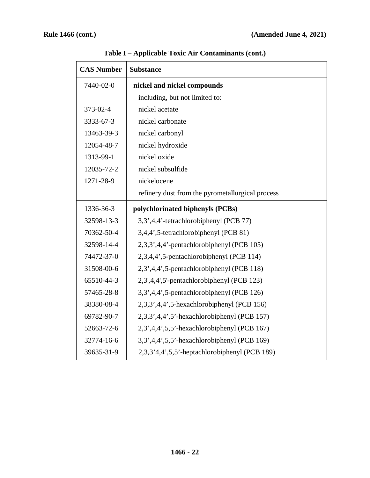| <b>CAS Number</b> | <b>Substance</b>                                         |
|-------------------|----------------------------------------------------------|
| 7440-02-0         | nickel and nickel compounds                              |
|                   | including, but not limited to:                           |
| 373-02-4          | nickel acetate                                           |
| 3333-67-3         | nickel carbonate                                         |
| 13463-39-3        | nickel carbonyl                                          |
| 12054-48-7        | nickel hydroxide                                         |
| 1313-99-1         | nickel oxide                                             |
| 12035-72-2        | nickel subsulfide                                        |
| 1271-28-9         | nickelocene                                              |
|                   | refinery dust from the pyrometallurgical process         |
| 1336-36-3         | polychlorinated biphenyls (PCBs)                         |
| 32598-13-3        | 3,3',4,4'-tetrachlorobiphenyl (PCB 77)                   |
| 70362-50-4        | 3,4,4',5-tetrachlorobiphenyl (PCB 81)                    |
| 32598-14-4        | 2,3,3',4,4'-pentachlorobiphenyl (PCB 105)                |
| 74472-37-0        | 2,3,4,4',5-pentachlorobiphenyl (PCB 114)                 |
| 31508-00-6        | 2,3',4,4',5-pentachlorobiphenyl (PCB 118)                |
| 65510-44-3        | 2,3',4,4',5'-pentachlorobiphenyl (PCB 123)               |
| 57465-28-8        | 3,3',4,4',5-pentachlorobiphenyl (PCB 126)                |
| 38380-08-4        | $2,3,3',4,4',5$ -hexachlorobiphenyl (PCB 156)            |
| 69782-90-7        | 2,3,3',4,4',5'-hexachlorobiphenyl (PCB 157)              |
| 52663-72-6        | $2,3,4,4,5,5$ <sup>2</sup> -hexachlorobiphenyl (PCB 167) |
| 32774-16-6        | 3,3',4,4',5,5'-hexachlorobiphenyl (PCB 169)              |
| 39635-31-9        | 2,3,3'4,4',5,5'-heptachlorobiphenyl (PCB 189)            |

**Table I – Applicable Toxic Air Contaminants (cont.)**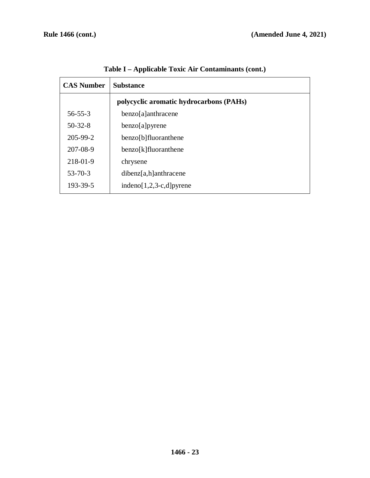| <b>CAS Number</b> | <b>Substance</b>                        |
|-------------------|-----------------------------------------|
|                   | polycyclic aromatic hydrocarbons (PAHs) |
| $56 - 55 - 3$     | benzo[a]anthracene                      |
| $50 - 32 - 8$     | benzo[a]pyrene                          |
| $205 - 99 - 2$    | benzo[b]fluoranthene                    |
| 207-08-9          | benzo[k]fluoranthene                    |
| 218-01-9          | chrysene                                |
| $53 - 70 - 3$     | $dibenz[a,h]$ anthracene                |
| 193-39-5          | $indeno[1,2,3-c,d]pyrene$               |

**Table I – Applicable Toxic Air Contaminants (cont.)**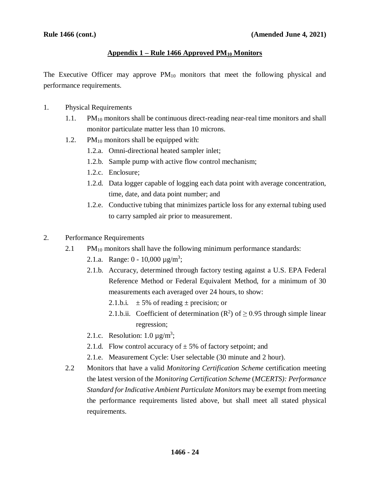## **Appendix 1 – Rule 1466 Approved PM10 Monitors**

The Executive Officer may approve  $PM_{10}$  monitors that meet the following physical and performance requirements.

- 1. Physical Requirements
	- 1.1. PM<sub>10</sub> monitors shall be continuous direct-reading near-real time monitors and shall monitor particulate matter less than 10 microns.
	- 1.2.  $PM_{10}$  monitors shall be equipped with:
		- 1.2.a. Omni-directional heated sampler inlet;
		- 1.2.b. Sample pump with active flow control mechanism;
		- 1.2.c. Enclosure;
		- 1.2.d. Data logger capable of logging each data point with average concentration, time, date, and data point number; and
		- 1.2.e. Conductive tubing that minimizes particle loss for any external tubing used to carry sampled air prior to measurement.
- 2. Performance Requirements
	- 2.1 PM $_{10}$  monitors shall have the following minimum performance standards:
		- 2.1.a. Range:  $0 10,000 \mu g/m^3$ ;
		- 2.1.b. Accuracy, determined through factory testing against a U.S. EPA Federal Reference Method or Federal Equivalent Method, for a minimum of 30 measurements each averaged over 24 hours, to show:
			- 2.1.b.i.  $\pm$  5% of reading  $\pm$  precision; or
			- 2.1.b.ii. Coefficient of determination  $(R^2)$  of  $\geq$  0.95 through simple linear regression;
		- 2.1.c. Resolution:  $1.0 \mu g/m^3$ ;
		- 2.1.d. Flow control accuracy of  $\pm$  5% of factory setpoint; and
		- 2.1.e. Measurement Cycle: User selectable (30 minute and 2 hour).
	- 2.2 Monitors that have a valid *Monitoring Certification Scheme* certification meeting the latest version of the *Monitoring Certification Scheme* (*MCERTS): Performance Standard for Indicative Ambient Particulate Monitors* may be exempt from meeting the performance requirements listed above, but shall meet all stated physical requirements.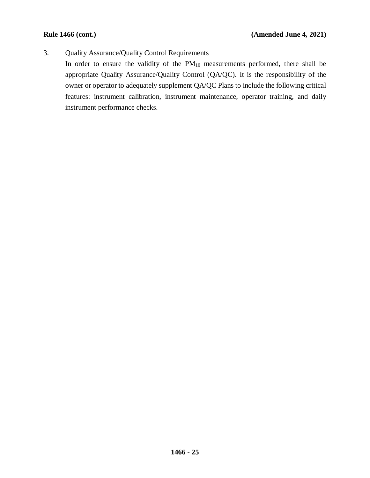3. Quality Assurance/Quality Control Requirements

In order to ensure the validity of the  $PM_{10}$  measurements performed, there shall be appropriate Quality Assurance/Quality Control (QA/QC). It is the responsibility of the owner or operator to adequately supplement QA/QC Plans to include the following critical features: instrument calibration, instrument maintenance, operator training, and daily instrument performance checks.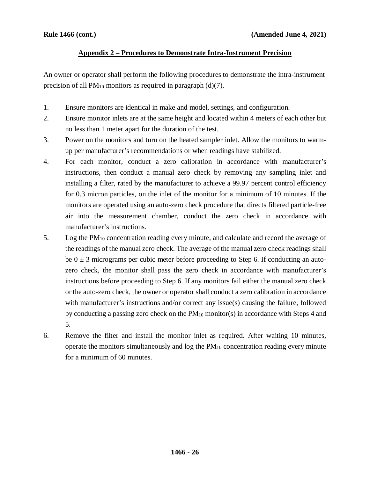## **Appendix 2 – Procedures to Demonstrate Intra-Instrument Precision**

An owner or operator shall perform the following procedures to demonstrate the intra-instrument precision of all  $PM_{10}$  monitors as required in paragraph (d)(7).

- 1. Ensure monitors are identical in make and model, settings, and configuration.
- 2. Ensure monitor inlets are at the same height and located within 4 meters of each other but no less than 1 meter apart for the duration of the test.
- 3. Power on the monitors and turn on the heated sampler inlet. Allow the monitors to warmup per manufacturer's recommendations or when readings have stabilized.
- 4. For each monitor, conduct a zero calibration in accordance with manufacturer's instructions, then conduct a manual zero check by removing any sampling inlet and installing a filter, rated by the manufacturer to achieve a 99.97 percent control efficiency for 0.3 micron particles, on the inlet of the monitor for a minimum of 10 minutes. If the monitors are operated using an auto-zero check procedure that directs filtered particle-free air into the measurement chamber, conduct the zero check in accordance with manufacturer's instructions.
- 5. Log the PM10 concentration reading every minute, and calculate and record the average of the readings of the manual zero check. The average of the manual zero check readings shall be  $0 \pm 3$  micrograms per cubic meter before proceeding to Step 6. If conducting an autozero check, the monitor shall pass the zero check in accordance with manufacturer's instructions before proceeding to Step 6. If any monitors fail either the manual zero check or the auto-zero check, the owner or operator shall conduct a zero calibration in accordance with manufacturer's instructions and/or correct any issue(s) causing the failure, followed by conducting a passing zero check on the  $PM_{10}$  monitor(s) in accordance with Steps 4 and 5.
- 6. Remove the filter and install the monitor inlet as required. After waiting 10 minutes, operate the monitors simultaneously and  $log$  the  $PM_{10}$  concentration reading every minute for a minimum of 60 minutes.